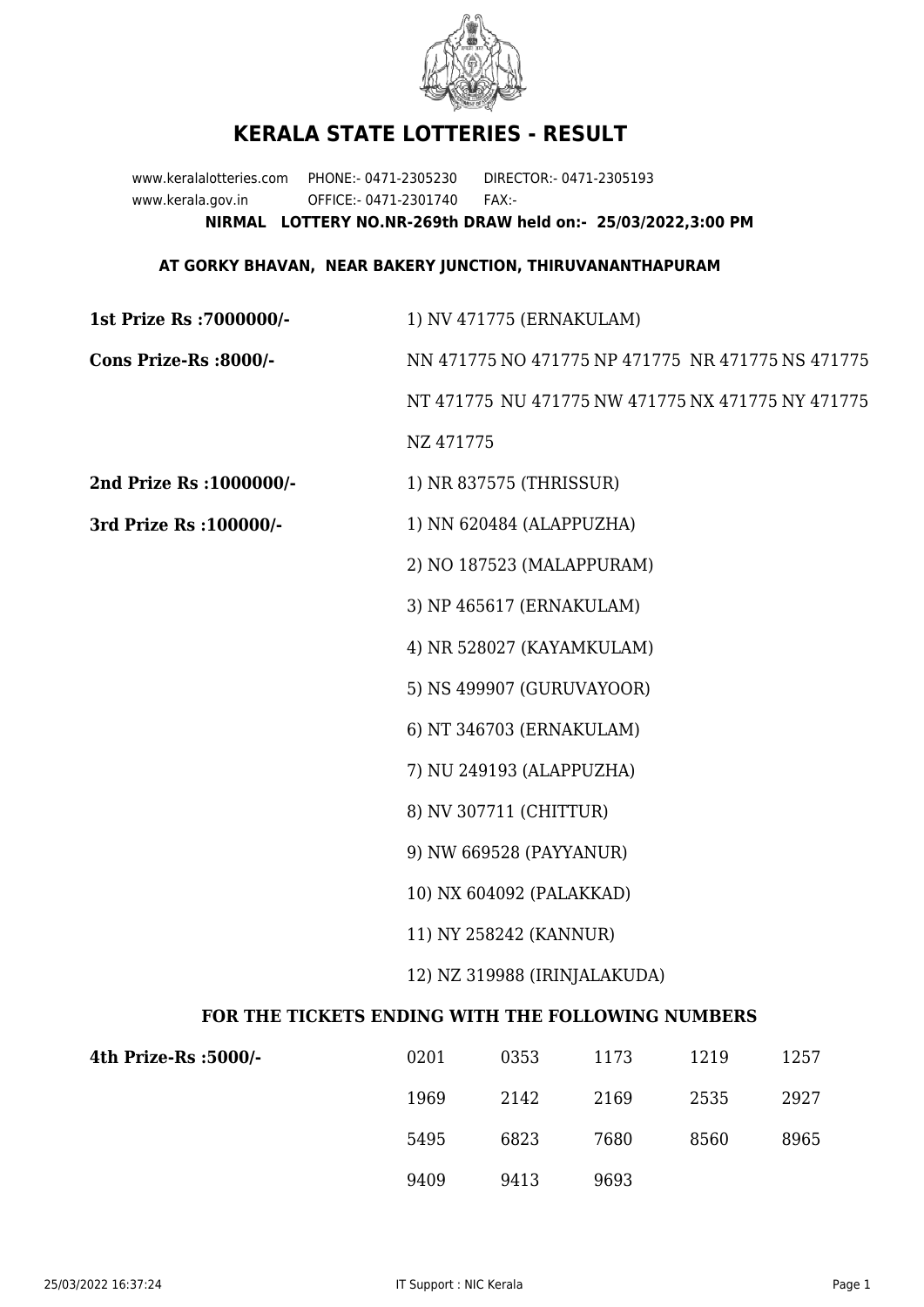

## **KERALA STATE LOTTERIES - RESULT**

www.keralalotteries.com PHONE:- 0471-2305230 DIRECTOR:- 0471-2305193 www.kerala.gov.in OFFICE:- 0471-2301740 FAX:- **NIRMAL LOTTERY NO.NR-269th DRAW held on:- 25/03/2022,3:00 PM**

## **AT GORKY BHAVAN, NEAR BAKERY JUNCTION, THIRUVANANTHAPURAM**

| 1st Prize Rs : 7000000/-                          | 1) NV 471775 (ERNAKULAM)                          |                                                   |      |      |      |  |
|---------------------------------------------------|---------------------------------------------------|---------------------------------------------------|------|------|------|--|
| Cons Prize-Rs :8000/-                             |                                                   | NN 471775 NO 471775 NP 471775 NR 471775 NS 471775 |      |      |      |  |
|                                                   | NT 471775 NU 471775 NW 471775 NX 471775 NY 471775 |                                                   |      |      |      |  |
|                                                   | NZ 471775                                         |                                                   |      |      |      |  |
| 2nd Prize Rs : 1000000/-                          | 1) NR 837575 (THRISSUR)                           |                                                   |      |      |      |  |
| 3rd Prize Rs : 100000/-                           | 1) NN 620484 (ALAPPUZHA)                          |                                                   |      |      |      |  |
|                                                   | 2) NO 187523 (MALAPPURAM)                         |                                                   |      |      |      |  |
|                                                   | 3) NP 465617 (ERNAKULAM)                          |                                                   |      |      |      |  |
|                                                   | 4) NR 528027 (KAYAMKULAM)                         |                                                   |      |      |      |  |
|                                                   | 5) NS 499907 (GURUVAYOOR)                         |                                                   |      |      |      |  |
|                                                   |                                                   | 6) NT 346703 (ERNAKULAM)                          |      |      |      |  |
|                                                   | 7) NU 249193 (ALAPPUZHA)                          |                                                   |      |      |      |  |
|                                                   | 8) NV 307711 (CHITTUR)                            |                                                   |      |      |      |  |
|                                                   | 9) NW 669528 (PAYYANUR)                           |                                                   |      |      |      |  |
|                                                   | 10) NX 604092 (PALAKKAD)                          |                                                   |      |      |      |  |
|                                                   | 11) NY 258242 (KANNUR)                            |                                                   |      |      |      |  |
|                                                   | 12) NZ 319988 (IRINJALAKUDA)                      |                                                   |      |      |      |  |
| FOR THE TICKETS ENDING WITH THE FOLLOWING NUMBERS |                                                   |                                                   |      |      |      |  |
| 4th Prize-Rs :5000/-                              | 0201                                              | 0353                                              | 1173 | 1219 | 1257 |  |
|                                                   | 1969                                              | 2142                                              | 2169 | 2535 | 2927 |  |
|                                                   | 5495                                              | 6823                                              | 7680 | 8560 | 8965 |  |

9409 9413 9693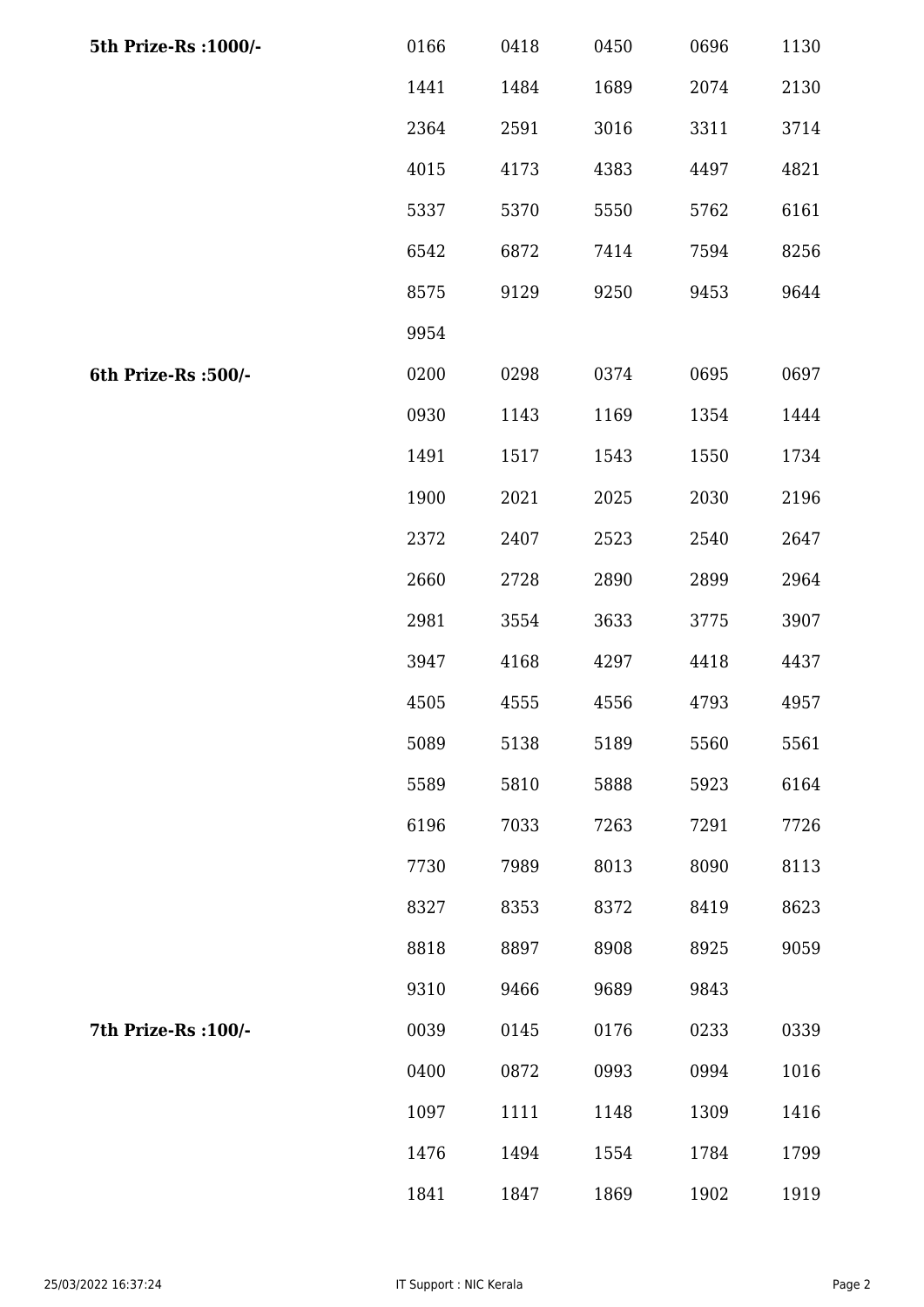| 5th Prize-Rs : 1000/- | 0166 | 0418 | 0450 | 0696 | 1130 |
|-----------------------|------|------|------|------|------|
|                       | 1441 | 1484 | 1689 | 2074 | 2130 |
|                       | 2364 | 2591 | 3016 | 3311 | 3714 |
|                       | 4015 | 4173 | 4383 | 4497 | 4821 |
|                       | 5337 | 5370 | 5550 | 5762 | 6161 |
|                       | 6542 | 6872 | 7414 | 7594 | 8256 |
|                       | 8575 | 9129 | 9250 | 9453 | 9644 |
|                       | 9954 |      |      |      |      |
| 6th Prize-Rs :500/-   | 0200 | 0298 | 0374 | 0695 | 0697 |
|                       | 0930 | 1143 | 1169 | 1354 | 1444 |
|                       | 1491 | 1517 | 1543 | 1550 | 1734 |
|                       | 1900 | 2021 | 2025 | 2030 | 2196 |
|                       | 2372 | 2407 | 2523 | 2540 | 2647 |
|                       | 2660 | 2728 | 2890 | 2899 | 2964 |
|                       | 2981 | 3554 | 3633 | 3775 | 3907 |
|                       | 3947 | 4168 | 4297 | 4418 | 4437 |
|                       | 4505 | 4555 | 4556 | 4793 | 4957 |
|                       | 5089 | 5138 | 5189 | 5560 | 5561 |
|                       | 5589 | 5810 | 5888 | 5923 | 6164 |
|                       | 6196 | 7033 | 7263 | 7291 | 7726 |
|                       | 7730 | 7989 | 8013 | 8090 | 8113 |
|                       | 8327 | 8353 | 8372 | 8419 | 8623 |
|                       | 8818 | 8897 | 8908 | 8925 | 9059 |
|                       | 9310 | 9466 | 9689 | 9843 |      |
| 7th Prize-Rs : 100/-  | 0039 | 0145 | 0176 | 0233 | 0339 |
|                       | 0400 | 0872 | 0993 | 0994 | 1016 |
|                       | 1097 | 1111 | 1148 | 1309 | 1416 |
|                       | 1476 | 1494 | 1554 | 1784 | 1799 |
|                       | 1841 | 1847 | 1869 | 1902 | 1919 |